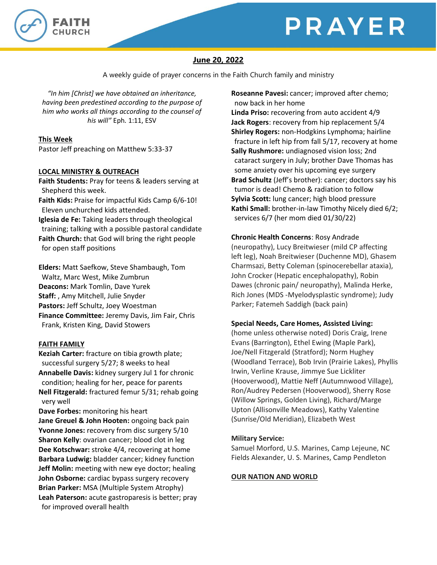# PRAYER



## **June 20, 2022**

A weekly guide of prayer concerns in the Faith Church family and ministry

*"In him [Christ] we have obtained an inheritance, having been predestined according to the purpose of him who works all things according to the counsel of his will"* Eph. 1:11, ESV

## **This Week**

Pastor Jeff preaching on Matthew 5:33-37

## **LOCAL MINISTRY & OUTREACH**

**Faith Students:** Pray for teens & leaders serving at Shepherd this week.

**Faith Kids:** Praise for impactful Kids Camp 6/6-10! Eleven unchurched kids attended.

**Iglesia de Fe:** Taking leaders through theological training; talking with a possible pastoral candidate **Faith Church:** that God will bring the right people for open staff positions

**Elders:** Matt Saefkow, Steve Shambaugh, Tom Waltz, Marc West, Mike Zumbrun **Deacons:** Mark Tomlin, Dave Yurek **Staff:** , Amy Mitchell, Julie Snyder **Pastors:** Jeff Schultz, Joey Woestman **Finance Committee:** Jeremy Davis, Jim Fair, Chris Frank, Kristen King, David Stowers

## **FAITH FAMILY**

**Keziah Carter:** fracture on tibia growth plate; successful surgery 5/27; 8 weeks to heal **Annabelle Davis:** kidney surgery Jul 1 for chronic condition; healing for her, peace for parents **Nell Fitzgerald:** fractured femur 5/31; rehab going very well

**Dave Forbes:** monitoring his heart **Jane Greuel & John Hooten:** ongoing back pain **Yvonne Jones:** recovery from disc surgery 5/10 **Sharon Kelly**: ovarian cancer; blood clot in leg **Dee Kotschwar:** stroke 4/4, recovering at home **Barbara Ludwig:** bladder cancer; kidney function **Jeff Molin:** meeting with new eye doctor; healing **John Osborne:** cardiac bypass surgery recovery **Brian Parker:** MSA (Multiple System Atrophy) **Leah Paterson:** acute gastroparesis is better; pray for improved overall health

**Roseanne Pavesi:** cancer; improved after chemo; now back in her home

**Linda Priso:** recovering from auto accident 4/9 **Jack Rogers**: recovery from hip replacement 5/4 **Shirley Rogers:** non-Hodgkins Lymphoma; hairline fracture in left hip from fall 5/17, recovery at home **Sally Rushmore:** undiagnosed vision loss; 2nd cataract surgery in July; brother Dave Thomas has some anxiety over his upcoming eye surgery **Brad Schultz** (Jeff's brother): cancer; doctors say his tumor is dead! Chemo & radiation to follow **Sylvia Scott:** lung cancer; high blood pressure **Kathi Small:** brother-in-law Timothy Nicely died 6/2; services 6/7 (her mom died 01/30/22)

## **Chronic Health Concerns**: Rosy Andrade

(neuropathy), Lucy Breitwieser (mild CP affecting left leg), Noah Breitwieser (Duchenne MD), Ghasem Charmsazi, Betty Coleman (spinocerebellar ataxia), John Crocker (Hepatic encephalopathy), Robin Dawes (chronic pain/ neuropathy), Malinda Herke, Rich Jones (MDS -Myelodysplastic syndrome); Judy Parker; Fatemeh Saddigh (back pain)

## **Special Needs, Care Homes, Assisted Living:**

(home unless otherwise noted) Doris Craig, Irene Evans (Barrington), Ethel Ewing (Maple Park), Joe/Nell Fitzgerald (Stratford); Norm Hughey (Woodland Terrace), Bob Irvin (Prairie Lakes), Phyllis Irwin, Verline Krause, Jimmye Sue Lickliter (Hooverwood), Mattie Neff (Autumnwood Village), Ron/Audrey Pedersen (Hooverwood), Sherry Rose (Willow Springs, Golden Living), Richard/Marge Upton (Allisonville Meadows), Kathy Valentine (Sunrise/Old Meridian), Elizabeth West

## **Military Service:**

Samuel Morford, U.S. Marines, Camp Lejeune, NC Fields Alexander, U. S. Marines, Camp Pendleton

## **OUR NATION AND WORLD**